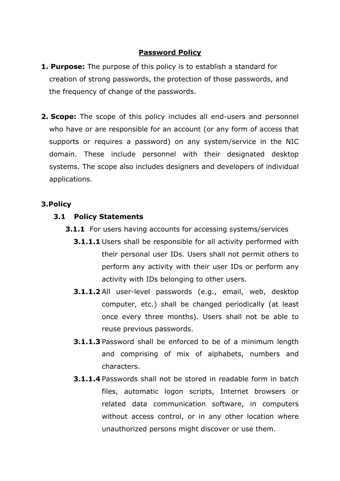## **Password Policy**

- **1. Purpose:** The purpose of this policy is to establish a standard for creation of strong passwords, the protection of those passwords, and the frequency of change of the passwords.
- **2. Scope:** The scope of this policy includes all end-users and personnel who have or are responsible for an account (or any form of access that supports or requires a password) on any system/service in the NIC domain. These include personnel with their designated desktop systems. The scope also includes designers and developers of individual applications.

# **3.Policy**

### **3.1 Policy Statements**

- **3.1.1** For users having accounts for accessing systems/services
	- **3.1.1.1** Users shall be responsible for all activity performed with their personal user IDs. Users shall not permit others to perform any activity with their user IDs or perform any activity with IDs belonging to other users.
	- **3.1.1.2** All user-level passwords (e.g., email, web, desktop computer, etc.) shall be changed periodically (at least once every three months). Users shall not be able to reuse previous passwords.
	- **3.1.1.3** Password shall be enforced to be of a minimum length and comprising of mix of alphabets, numbers and characters.
	- **3.1.1.4** Passwords shall not be stored in readable form in batch files, automatic logon scripts, Internet browsers or related data communication software, in computers without access control, or in any other location where unauthorized persons might discover or use them.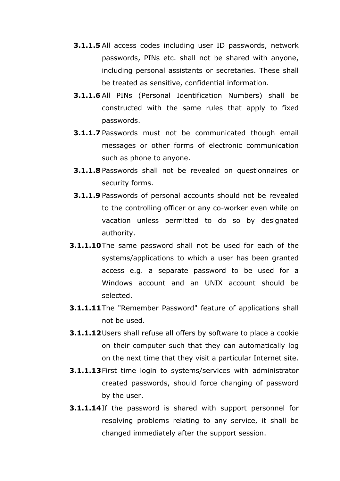- **3.1.1.5** All access codes including user ID passwords, network passwords, PINs etc. shall not be shared with anyone, including personal assistants or secretaries. These shall be treated as sensitive, confidential information.
- **3.1.1.6** All PINs (Personal Identification Numbers) shall be constructed with the same rules that apply to fixed passwords.
- **3.1.1.7** Passwords must not be communicated though email messages or other forms of electronic communication such as phone to anyone.
- **3.1.1.8** Passwords shall not be revealed on questionnaires or security forms.
- **3.1.1.9** Passwords of personal accounts should not be revealed to the controlling officer or any co-worker even while on vacation unless permitted to do so by designated authority.
- **3.1.1.10**The same password shall not be used for each of the systems/applications to which a user has been granted access e.g. a separate password to be used for a Windows account and an UNIX account should be selected.
- **3.1.1.11**The "Remember Password" feature of applications shall not be used.
- **3.1.1.12**Users shall refuse all offers by software to place a cookie on their computer such that they can automatically log on the next time that they visit a particular Internet site.
- **3.1.1.13**First time login to systems/services with administrator created passwords, should force changing of password by the user.
- **3.1.1.14**If the password is shared with support personnel for resolving problems relating to any service, it shall be changed immediately after the support session.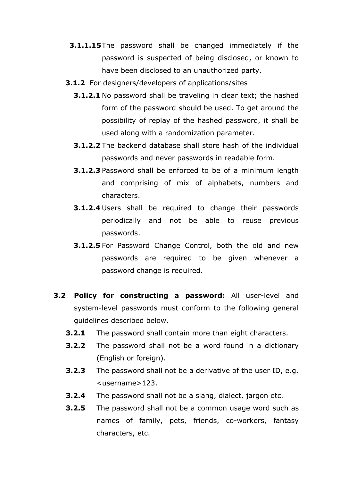- **3.1.1.15**The password shall be changed immediately if the password is suspected of being disclosed, or known to have been disclosed to an unauthorized party.
- **3.1.2** For designers/developers of applications/sites
	- **3.1.2.1** No password shall be traveling in clear text; the hashed form of the password should be used. To get around the possibility of replay of the hashed password, it shall be used along with a randomization parameter.
	- **3.1.2.2** The backend database shall store hash of the individual passwords and never passwords in readable form.
	- **3.1.2.3** Password shall be enforced to be of a minimum length and comprising of mix of alphabets, numbers and characters.
	- **3.1.2.4** Users shall be required to change their passwords periodically and not be able to reuse previous passwords.
	- **3.1.2.5** For Password Change Control, both the old and new passwords are required to be given whenever a password change is required.
- **3.2 Policy for constructing a password:** All user-level and system-level passwords must conform to the following general guidelines described below.
	- **3.2.1** The password shall contain more than eight characters.
	- **3.2.2** The password shall not be a word found in a dictionary (English or foreign).
	- **3.2.3** The password shall not be a derivative of the user ID, e.g. <username>123.
	- **3.2.4** The password shall not be a slang, dialect, jargon etc.
	- **3.2.5** The password shall not be a common usage word such as names of family, pets, friends, co-workers, fantasy characters, etc.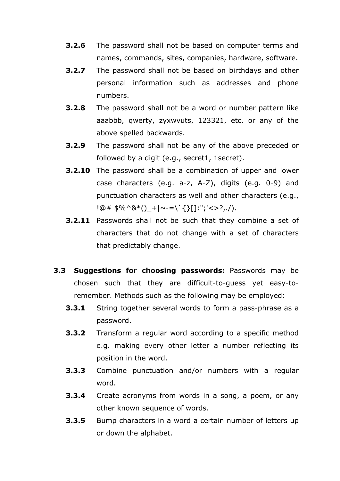- **3.2.6** The password shall not be based on computer terms and names, commands, sites, companies, hardware, software.
- **3.2.7** The password shall not be based on birthdays and other personal information such as addresses and phone numbers.
- **3.2.8** The password shall not be a word or number pattern like aaabbb, qwerty, zyxwvuts, 123321, etc. or any of the above spelled backwards.
- **3.2.9** The password shall not be any of the above preceded or followed by a digit (e.g., secret1, 1secret).
- **3.2.10** The password shall be a combination of upper and lower case characters (e.g. a-z, A-Z), digits (e.g. 0-9) and punctuation characters as well and other characters (e.g.,  $!@# $%^{\wedge}8^{\ast}()_-+|_{\sim}=-\check{\ }$ {} $\{{}\\][]:{\textstyle";'<>}?,/).$
- **3.2.11** Passwords shall not be such that they combine a set of characters that do not change with a set of characters that predictably change.
- **3.3 Suggestions for choosing passwords:** Passwords may be chosen such that they are difficult-to-guess yet easy-toremember. Methods such as the following may be employed:
	- **3.3.1** String together several words to form a pass-phrase as a password.
	- **3.3.2** Transform a regular word according to a specific method e.g. making every other letter a number reflecting its position in the word.
	- **3.3.3** Combine punctuation and/or numbers with a regular word.
	- **3.3.4** Create acronyms from words in a song, a poem, or any other known sequence of words.
	- **3.3.5** Bump characters in a word a certain number of letters up or down the alphabet.